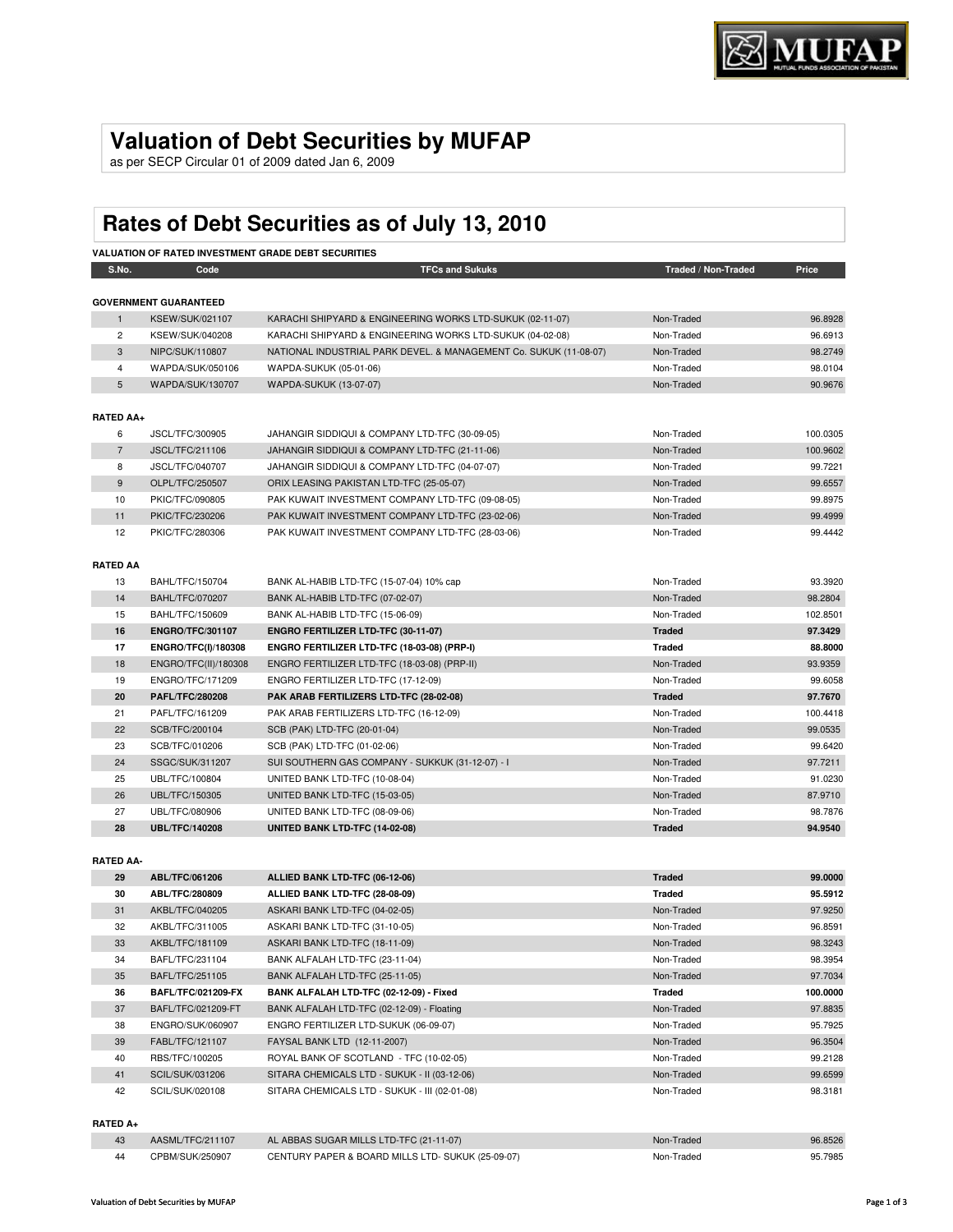# **Valuation of Debt Securities by MUFAP**

as per SECP Circular 01 of 2009 dated Jan 6, 2009

# **Rates of Debt Securities as of July 13, 2010**

|                  | <b>VALUATION OF RATED INVESTMENT GRADE DEBT SECURITIES</b> |                                                                   |                     |          |  |  |  |
|------------------|------------------------------------------------------------|-------------------------------------------------------------------|---------------------|----------|--|--|--|
| S.No.            | Code                                                       | <b>TFCs and Sukuks</b>                                            | Traded / Non-Traded | Price    |  |  |  |
|                  |                                                            |                                                                   |                     |          |  |  |  |
|                  | <b>GOVERNMENT GUARANTEED</b>                               |                                                                   |                     |          |  |  |  |
| $\mathbf{1}$     | <b>KSEW/SUK/021107</b>                                     | KARACHI SHIPYARD & ENGINEERING WORKS LTD-SUKUK (02-11-07)         | Non-Traded          | 96.8928  |  |  |  |
| $\overline{2}$   | KSEW/SUK/040208                                            | KARACHI SHIPYARD & ENGINEERING WORKS LTD-SUKUK (04-02-08)         | Non-Traded          | 96.6913  |  |  |  |
| 3                | NIPC/SUK/110807                                            | NATIONAL INDUSTRIAL PARK DEVEL. & MANAGEMENT Co. SUKUK (11-08-07) | Non-Traded          | 98.2749  |  |  |  |
| $\overline{4}$   | WAPDA/SUK/050106                                           | WAPDA-SUKUK (05-01-06)                                            | Non-Traded          | 98.0104  |  |  |  |
| 5                | WAPDA/SUK/130707                                           | <b>WAPDA-SUKUK (13-07-07)</b>                                     | Non-Traded          | 90.9676  |  |  |  |
|                  |                                                            |                                                                   |                     |          |  |  |  |
| <b>RATED AA+</b> |                                                            |                                                                   |                     |          |  |  |  |
| 6                | JSCL/TFC/300905                                            | JAHANGIR SIDDIQUI & COMPANY LTD-TFC (30-09-05)                    | Non-Traded          | 100.0305 |  |  |  |
| $\overline{7}$   | <b>JSCL/TFC/211106</b>                                     | JAHANGIR SIDDIQUI & COMPANY LTD-TFC (21-11-06)                    | Non-Traded          | 100.9602 |  |  |  |
| 8                | JSCL/TFC/040707                                            | JAHANGIR SIDDIQUI & COMPANY LTD-TFC (04-07-07)                    | Non-Traded          | 99.7221  |  |  |  |
| 9                | OLPL/TFC/250507                                            | ORIX LEASING PAKISTAN LTD-TFC (25-05-07)                          | Non-Traded          | 99.6557  |  |  |  |
| 10               | PKIC/TFC/090805                                            | PAK KUWAIT INVESTMENT COMPANY LTD-TFC (09-08-05)                  | Non-Traded          | 99.8975  |  |  |  |
| 11               | PKIC/TFC/230206                                            | PAK KUWAIT INVESTMENT COMPANY LTD-TFC (23-02-06)                  | Non-Traded          | 99.4999  |  |  |  |
| 12               | PKIC/TFC/280306                                            | PAK KUWAIT INVESTMENT COMPANY LTD-TFC (28-03-06)                  | Non-Traded          | 99.4442  |  |  |  |
|                  |                                                            |                                                                   |                     |          |  |  |  |
| <b>RATED AA</b>  |                                                            |                                                                   |                     |          |  |  |  |
| 13               | BAHL/TFC/150704                                            | BANK AL-HABIB LTD-TFC (15-07-04) 10% cap                          | Non-Traded          | 93.3920  |  |  |  |
| 14               | <b>BAHL/TFC/070207</b>                                     | BANK AL-HABIB LTD-TFC (07-02-07)                                  | Non-Traded          | 98.2804  |  |  |  |
| 15               | BAHL/TFC/150609                                            | BANK AL-HABIB LTD-TFC (15-06-09)                                  | Non-Traded          | 102.8501 |  |  |  |
| 16               | <b>ENGRO/TFC/301107</b>                                    | ENGRO FERTILIZER LTD-TFC (30-11-07)                               | <b>Traded</b>       | 97.3429  |  |  |  |
| 17               | <b>ENGRO/TFC(I)/180308</b>                                 | ENGRO FERTILIZER LTD-TFC (18-03-08) (PRP-I)                       | <b>Traded</b>       | 88.8000  |  |  |  |
| 18               | ENGRO/TFC(II)/180308                                       | ENGRO FERTILIZER LTD-TFC (18-03-08) (PRP-II)                      | Non-Traded          | 93.9359  |  |  |  |
| 19               | ENGRO/TFC/171209                                           | ENGRO FERTILIZER LTD-TFC (17-12-09)                               | Non-Traded          | 99.6058  |  |  |  |
| 20               | PAFL/TFC/280208                                            | PAK ARAB FERTILIZERS LTD-TFC (28-02-08)                           | <b>Traded</b>       | 97.7670  |  |  |  |
| 21               | PAFL/TFC/161209                                            | PAK ARAB FERTILIZERS LTD-TFC (16-12-09)                           | Non-Traded          | 100.4418 |  |  |  |
| 22               | SCB/TFC/200104                                             | SCB (PAK) LTD-TFC (20-01-04)                                      | Non-Traded          | 99.0535  |  |  |  |
| 23               | SCB/TFC/010206                                             | SCB (PAK) LTD-TFC (01-02-06)                                      | Non-Traded          | 99.6420  |  |  |  |
| 24               | SSGC/SUK/311207                                            | SUI SOUTHERN GAS COMPANY - SUKKUK (31-12-07) - I                  | Non-Traded          | 97.7211  |  |  |  |
| 25               | UBL/TFC/100804                                             | UNITED BANK LTD-TFC (10-08-04)                                    | Non-Traded          | 91.0230  |  |  |  |
| 26               | UBL/TFC/150305                                             | UNITED BANK LTD-TFC (15-03-05)                                    | Non-Traded          | 87.9710  |  |  |  |
| 27               | UBL/TFC/080906                                             | UNITED BANK LTD-TFC (08-09-06)                                    | Non-Traded          | 98.7876  |  |  |  |
| 28               | <b>UBL/TFC/140208</b>                                      | <b>UNITED BANK LTD-TFC (14-02-08)</b>                             | <b>Traded</b>       | 94.9540  |  |  |  |
|                  |                                                            |                                                                   |                     |          |  |  |  |
| <b>RATED AA-</b> |                                                            |                                                                   |                     |          |  |  |  |
| 29               | ABL/TFC/061206                                             | ALLIED BANK LTD-TFC (06-12-06)                                    | <b>Traded</b>       | 99.0000  |  |  |  |
|                  |                                                            |                                                                   |                     |          |  |  |  |

| "Ju | ARI |
|-----|-----|
|     | .   |

I

| 29 | ADL/IFU/U01200            | ALLIED DANN LID-IFU (00-12-00)                | Trageg        | <b>AA'OOOO</b> |
|----|---------------------------|-----------------------------------------------|---------------|----------------|
| 30 | ABL/TFC/280809            | ALLIED BANK LTD-TFC (28-08-09)                | <b>Traded</b> | 95.5912        |
| 31 | AKBL/TFC/040205           | ASKARI BANK LTD-TFC (04-02-05)                | Non-Traded    | 97.9250        |
| 32 | AKBL/TFC/311005           | ASKARI BANK LTD-TFC (31-10-05)                | Non-Traded    | 96.8591        |
| 33 | AKBL/TFC/181109           | ASKARI BANK LTD-TFC (18-11-09)                | Non-Traded    | 98.3243        |
| 34 | BAFL/TFC/231104           | BANK ALFALAH LTD-TFC (23-11-04)               | Non-Traded    | 98.3954        |
| 35 | BAFL/TFC/251105           | BANK ALFALAH LTD-TFC (25-11-05)               | Non-Traded    | 97.7034        |
| 36 | <b>BAFL/TFC/021209-FX</b> | BANK ALFALAH LTD-TFC (02-12-09) - Fixed       | <b>Traded</b> | 100.0000       |
| 37 | BAFL/TFC/021209-FT        | BANK ALFALAH LTD-TFC (02-12-09) - Floating    | Non-Traded    | 97.8835        |
| 38 | ENGRO/SUK/060907          | ENGRO FERTILIZER LTD-SUKUK (06-09-07)         | Non-Traded    | 95.7925        |
| 39 | FABL/TFC/121107           | FAYSAL BANK LTD (12-11-2007)                  | Non-Traded    | 96.3504        |
| 40 | RBS/TFC/100205            | ROYAL BANK OF SCOTLAND - TFC (10-02-05)       | Non-Traded    | 99.2128        |
| 41 | SCIL/SUK/031206           | SITARA CHEMICALS LTD - SUKUK - II (03-12-06)  | Non-Traded    | 99.6599        |
| 42 | SCIL/SUK/020108           | SITARA CHEMICALS LTD - SUKUK - III (02-01-08) | Non-Traded    | 98.3181        |
|    |                           |                                               |               |                |

# **RATED A+**

| 43 | AASML/TFC/211107 | AL ABBAS SUGAR MILLS LTD-TFC (21-11-07)           | Non-Traded | 96.8526 |
|----|------------------|---------------------------------------------------|------------|---------|
| 44 | CPBM/SUK/250907  | CENTURY PAPER & BOARD MILLS LTD- SUKUK (25-09-07) | Non-Traded | 95.7985 |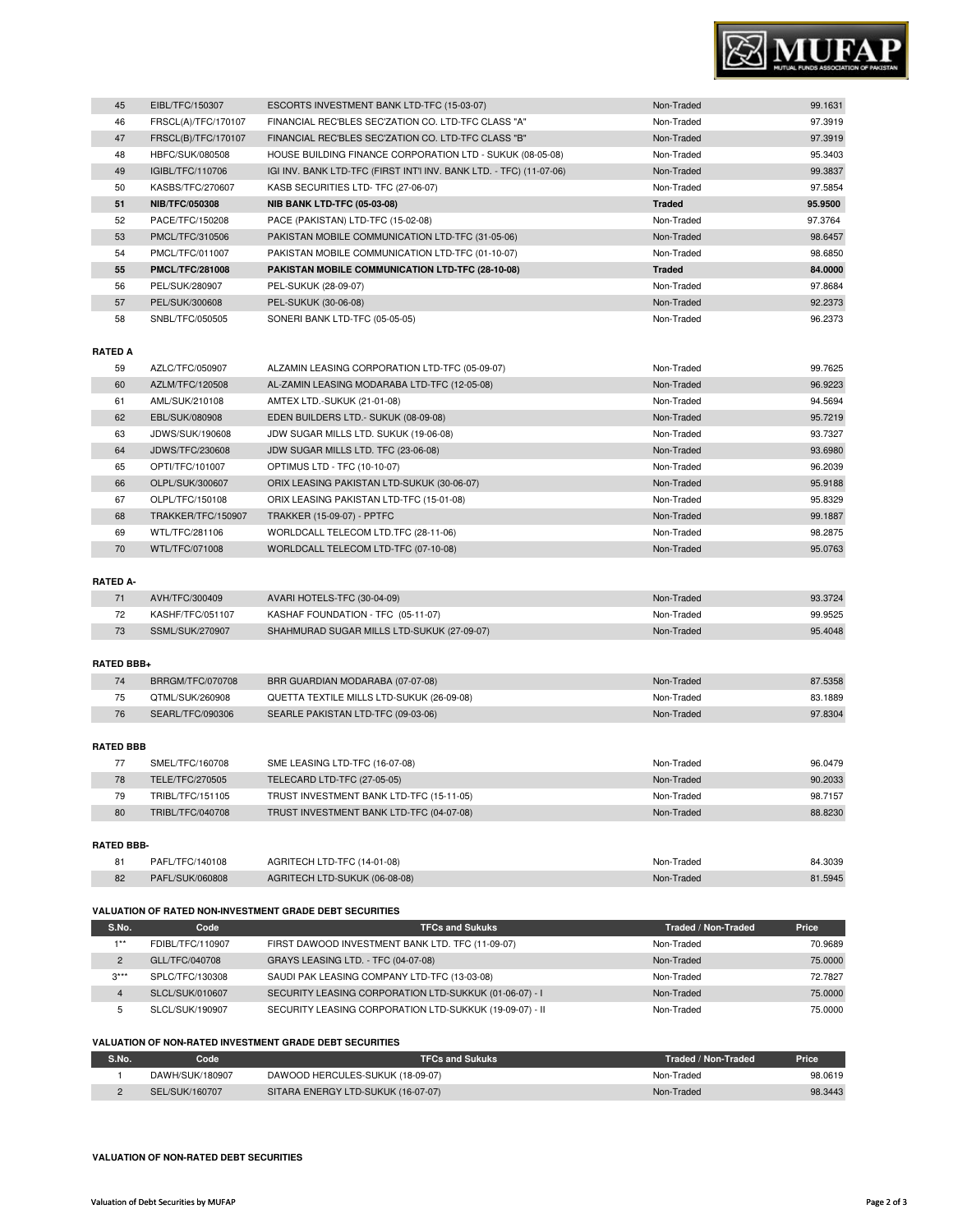

| 45 | EIBL/TFC/150307        | ESCORTS INVESTMENT BANK LTD-TFC (15-03-07)                          | Non-Traded    | 99.1631 |
|----|------------------------|---------------------------------------------------------------------|---------------|---------|
| 46 | FRSCL(A)/TFC/170107    | FINANCIAL REC'BLES SEC'ZATION CO. LTD-TFC CLASS "A"                 | Non-Traded    | 97.3919 |
| 47 | FRSCL(B)/TFC/170107    | FINANCIAL REC'BLES SEC'ZATION CO. LTD-TFC CLASS "B"                 | Non-Traded    | 97.3919 |
| 48 | HBFC/SUK/080508        | HOUSE BUILDING FINANCE CORPORATION LTD - SUKUK (08-05-08)           | Non-Traded    | 95.3403 |
| 49 | IGIBL/TFC/110706       | IGI INV. BANK LTD-TFC (FIRST INT'I INV. BANK LTD. - TFC) (11-07-06) | Non-Traded    | 99.3837 |
| 50 | KASBS/TFC/270607       | KASB SECURITIES LTD- TFC (27-06-07)                                 | Non-Traded    | 97.5854 |
| 51 | <b>NIB/TFC/050308</b>  | <b>NIB BANK LTD-TFC (05-03-08)</b>                                  | <b>Traded</b> | 95.9500 |
| 52 | PACE/TFC/150208        | PACE (PAKISTAN) LTD-TFC (15-02-08)                                  | Non-Traded    | 97.3764 |
| 53 | PMCL/TFC/310506        | PAKISTAN MOBILE COMMUNICATION LTD-TFC (31-05-06)                    | Non-Traded    | 98.6457 |
| 54 | PMCL/TFC/011007        | PAKISTAN MOBILE COMMUNICATION LTD-TFC (01-10-07)                    | Non-Traded    | 98.6850 |
| 55 | <b>PMCL/TFC/281008</b> | PAKISTAN MOBILE COMMUNICATION LTD-TFC (28-10-08)                    | <b>Traded</b> | 84.0000 |
| 56 | PEL/SUK/280907         | PEL-SUKUK (28-09-07)                                                | Non-Traded    | 97.8684 |
| 57 | PEL/SUK/300608         | PEL-SUKUK (30-06-08)                                                | Non-Traded    | 92.2373 |
| 58 | SNBL/TFC/050505        | SONERI BANK LTD-TFC (05-05-05)                                      | Non-Traded    | 96.2373 |

# **RATED A**

| 59 | AZLC/TFC/050907    | ALZAMIN LEASING CORPORATION LTD-TFC (05-09-07) | Non-Traded | 99.7625 |
|----|--------------------|------------------------------------------------|------------|---------|
| 60 | AZLM/TFC/120508    | AL-ZAMIN LEASING MODARABA LTD-TFC (12-05-08)   | Non-Traded | 96.9223 |
| 61 | AML/SUK/210108     | AMTEX LTD.-SUKUK (21-01-08)                    | Non-Traded | 94.5694 |
| 62 | EBL/SUK/080908     | EDEN BUILDERS LTD.- SUKUK (08-09-08)           | Non-Traded | 95.7219 |
| 63 | JDWS/SUK/190608    | JDW SUGAR MILLS LTD. SUKUK (19-06-08)          | Non-Traded | 93.7327 |
| 64 | JDWS/TFC/230608    | JDW SUGAR MILLS LTD. TFC (23-06-08)            | Non-Traded | 93.6980 |
| 65 | OPTI/TFC/101007    | OPTIMUS LTD - TFC (10-10-07)                   | Non-Traded | 96.2039 |
| 66 | OLPL/SUK/300607    | ORIX LEASING PAKISTAN LTD-SUKUK (30-06-07)     | Non-Traded | 95.9188 |
| 67 | OLPL/TFC/150108    | ORIX LEASING PAKISTAN LTD-TFC (15-01-08)       | Non-Traded | 95.8329 |
| 68 | TRAKKER/TFC/150907 | <b>TRAKKER (15-09-07) - PPTFC</b>              | Non-Traded | 99.1887 |
| 69 | WTL/TFC/281106     | WORLDCALL TELECOM LTD.TFC (28-11-06)           | Non-Traded | 98.2875 |
| 70 | WTL/TFC/071008     | WORLDCALL TELECOM LTD-TFC (07-10-08)           | Non-Traded | 95.0763 |

# **RATED A-**

| AVH/TFC/300409   | AVARI HOTELS-TFC (30-04-09)                | Non-Traded | 93.3724 |
|------------------|--------------------------------------------|------------|---------|
| KASHF/TFC/051107 | KASHAF FOUNDATION - TFC (05-11-07)         | Non-Traded | 99.9525 |
| SSML/SUK/270907  | SHAHMURAD SUGAR MILLS LTD-SUKUK (27-09-07) | Non-Traded | 95.4048 |

#### **RATED BBB+**

| 74 | BRRGM/TFC/070708 | BRR GUARDIAN MODARABA (07-07-08)          | Non-Traded | 87.5358 |
|----|------------------|-------------------------------------------|------------|---------|
| 75 | QTML/SUK/260908  | QUETTA TEXTILE MILLS LTD-SUKUK (26-09-08) | Non-Traded | 83.1889 |
| 76 | SEARL/TFC/090306 | SEARLE PAKISTAN LTD-TFC (09-03-06)        | Non-Traded | 97.8304 |
|    |                  |                                           |            |         |

# **RATED BBB**

|    | SMEL/TFC/160708  | SME LEASING LTD-TFC (16-07-08)           | Non-Traded | 96.0479 |
|----|------------------|------------------------------------------|------------|---------|
| 78 | TELE/TFC/270505  | TELECARD LTD-TFC (27-05-05)              | Non-Traded | 90.2033 |
| 79 | TRIBL/TFC/151105 | TRUST INVESTMENT BANK LTD-TFC (15-11-05) | Non-Traded | 98.7157 |
| 80 | TRIBL/TFC/040708 | TRUST INVESTMENT BANK LTD-TFC (04-07-08) | Non-Traded | 88.8230 |
|    |                  |                                          |            |         |

## **RATED BBB-**

| O <sub>1</sub> | PAFL/TFC/140108 | AGRITECH LTD-TFC (14-01-08)   | Non-Traded | 84.3039 |
|----------------|-----------------|-------------------------------|------------|---------|
| 82             | PAFL/SUK/060808 | AGRITECH LTD-SUKUK (06-08-08) | Non-Traded | 81.5945 |

#### **VALUATION OF RATED NON-INVESTMENT GRADE DEBT SECURITIES**

| S.No.          | Code             | <b>TFCs and Sukuks</b>                                  | Traded / Non-Traded | Price   |
|----------------|------------------|---------------------------------------------------------|---------------------|---------|
| $4 * *$        | FDIBL/TFC/110907 | FIRST DAWOOD INVESTMENT BANK LTD. TFC (11-09-07)        | Non-Traded          | 70.9689 |
| $\overline{2}$ | GLL/TFC/040708   | GRAYS LEASING LTD. - TFC (04-07-08)                     | Non-Traded          | 75,0000 |
| $3***$         | SPLC/TFC/130308  | SAUDI PAK LEASING COMPANY LTD-TFC (13-03-08)            | Non-Traded          | 72.7827 |
| 4              | SLCL/SUK/010607  | SECURITY LEASING CORPORATION LTD-SUKKUK (01-06-07) - I  | Non-Traded          | 75,0000 |
| 5              | SLCL/SUK/190907  | SECURITY LEASING CORPORATION LTD-SUKKUK (19-09-07) - II | Non-Traded          | 75,0000 |

## **VALUATION OF NON-RATED INVESTMENT GRADE DEBT SECURITIES**

| S.No. | Code            | <b>TFCs and Sukuks</b>             | Traded / Non-Traded | Price   |
|-------|-----------------|------------------------------------|---------------------|---------|
|       | DAWH/SUK/180907 | DAWOOD HERCULES-SUKUK (18-09-07)   | Non-Traded          | 98.0619 |
|       | SEL/SUK/160707  | SITARA ENERGY LTD-SUKUK (16-07-07) | Non-Traded          | 98.3443 |